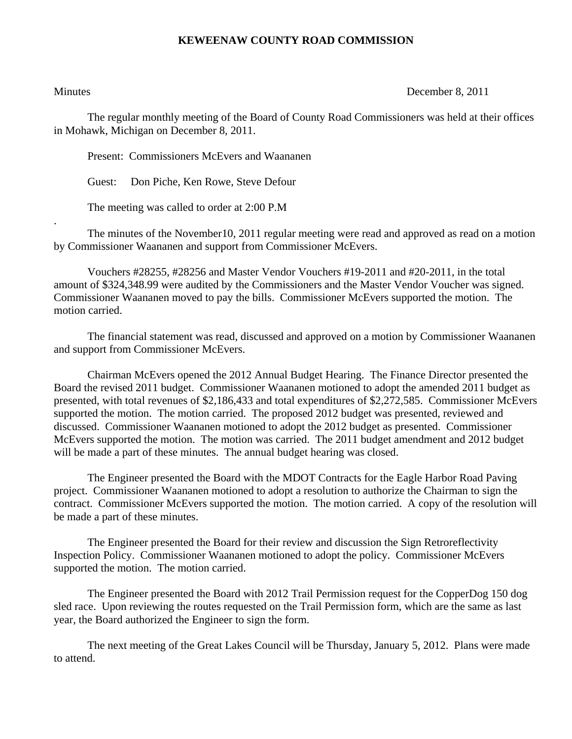## **KEWEENAW COUNTY ROAD COMMISSION**

.

Minutes December 8, 2011

The regular monthly meeting of the Board of County Road Commissioners was held at their offices in Mohawk, Michigan on December 8, 2011.

Present: Commissioners McEvers and Waananen

Guest: Don Piche, Ken Rowe, Steve Defour

The meeting was called to order at 2:00 P.M

 The minutes of the November10, 2011 regular meeting were read and approved as read on a motion by Commissioner Waananen and support from Commissioner McEvers.

 Vouchers #28255, #28256 and Master Vendor Vouchers #19-2011 and #20-2011, in the total amount of \$324,348.99 were audited by the Commissioners and the Master Vendor Voucher was signed. Commissioner Waananen moved to pay the bills. Commissioner McEvers supported the motion. The motion carried.

 The financial statement was read, discussed and approved on a motion by Commissioner Waananen and support from Commissioner McEvers.

 Chairman McEvers opened the 2012 Annual Budget Hearing. The Finance Director presented the Board the revised 2011 budget. Commissioner Waananen motioned to adopt the amended 2011 budget as presented, with total revenues of \$2,186,433 and total expenditures of \$2,272,585. Commissioner McEvers supported the motion. The motion carried. The proposed 2012 budget was presented, reviewed and discussed. Commissioner Waananen motioned to adopt the 2012 budget as presented. Commissioner McEvers supported the motion. The motion was carried. The 2011 budget amendment and 2012 budget will be made a part of these minutes. The annual budget hearing was closed.

 The Engineer presented the Board with the MDOT Contracts for the Eagle Harbor Road Paving project. Commissioner Waananen motioned to adopt a resolution to authorize the Chairman to sign the contract. Commissioner McEvers supported the motion. The motion carried. A copy of the resolution will be made a part of these minutes.

 The Engineer presented the Board for their review and discussion the Sign Retroreflectivity Inspection Policy. Commissioner Waananen motioned to adopt the policy. Commissioner McEvers supported the motion. The motion carried.

 The Engineer presented the Board with 2012 Trail Permission request for the CopperDog 150 dog sled race. Upon reviewing the routes requested on the Trail Permission form, which are the same as last year, the Board authorized the Engineer to sign the form.

 The next meeting of the Great Lakes Council will be Thursday, January 5, 2012. Plans were made to attend.